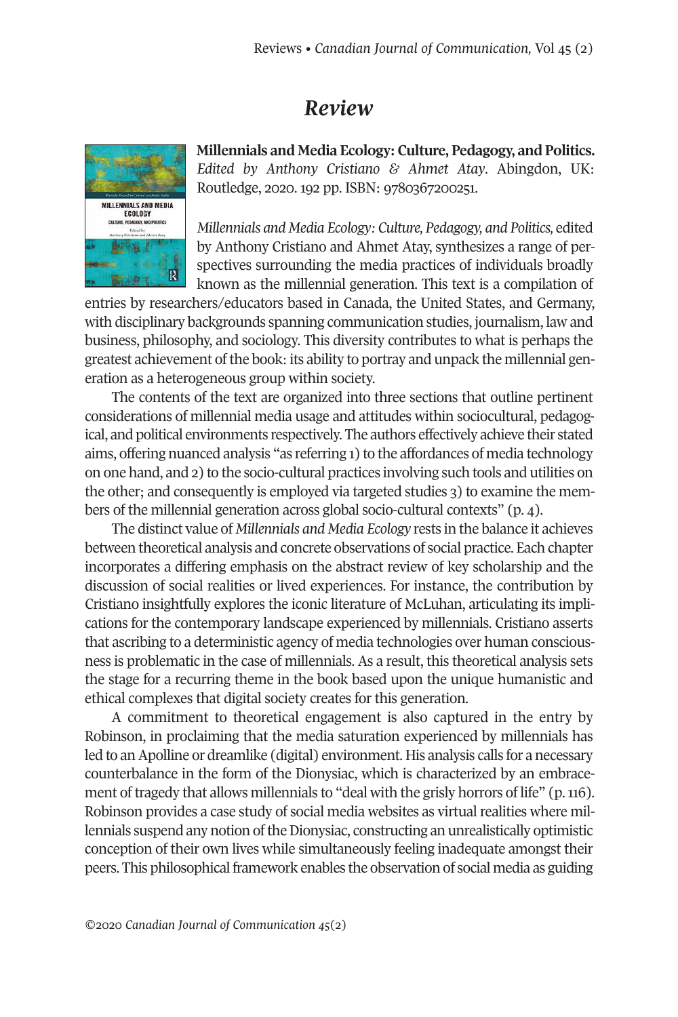## *Review*



**Millennials and Media Ecology: Culture, Pedagogy, and Politics.** *Edited by Anthony Cristiano & Ahmet Atay*. Abingdon, UK: Routledge, 2020. 192 pp. ISBN: 9780367200251.

*Millennials and Media Ecology: Culture, Pedagogy, and Politics,* edited by Anthony Cristiano and Ahmet Atay, synthesizes a range of perspectives surrounding the media practices of individuals broadly known as the millennial generation. This text is a compilation of

entries by researchers/educators based in Canada, the United States, and Germany, with disciplinary backgrounds spanning communication studies, journalism, law and business, philosophy, and sociology. This diversity contributes to what is perhaps the greatest achievement of the book: its ability to portray and unpack the millennial generation as a heterogeneous group within society.

The contents of the text are organized into three sections that outline pertinent considerations of millennial media usage and attitudes within sociocultural, pedagogical, and political environments respectively. The authors effectively achieve their stated aims, offering nuanced analysis "as referring 1) to the affordances of media technology on one hand, and 2) to the socio-cultural practices involving such tools and utilities on the other; and consequently is employed via targeted studies 3) to examine the members of the millennial generation across global socio-cultural contexts" (p. 4).

The distinct value of *Millennials and Media Ecology* rests in the balance it achieves between theoretical analysis and concrete observations of social practice. Each chapter incorporates a differing emphasis on the abstract review of key scholarship and the discussion of social realities or lived experiences. For instance, the contribution by Cristiano insightfully explores the iconic literature of McLuhan, articulating its implications for the contemporary landscape experienced by millennials. Cristiano asserts that ascribing to a deterministic agency of media technologies over human consciousness is problematic in the case of millennials. As a result, this theoretical analysis sets the stage for a recurring theme in the book based upon the unique humanistic and ethical complexes that digital society creates for this generation.

A commitment to theoretical engagement is also captured in the entry by Robinson, in proclaiming that the media saturation experienced by millennials has led to an Apolline or dreamlike (digital) environment. His analysis calls for a necessary counterbalance in the form of the Dionysiac, which is characterized by an embracement of tragedy that allows millennials to "deal with the grisly horrors of life" (p. 116). Robinson provides a case study of social media websites as virtualrealities where millennials suspend any notion of the Dionysiac, constructing an unrealistically optimistic conception of their own lives while simultaneously feeling inadequate amongst their peers. This philosophicalframework enables the observation of social media as guiding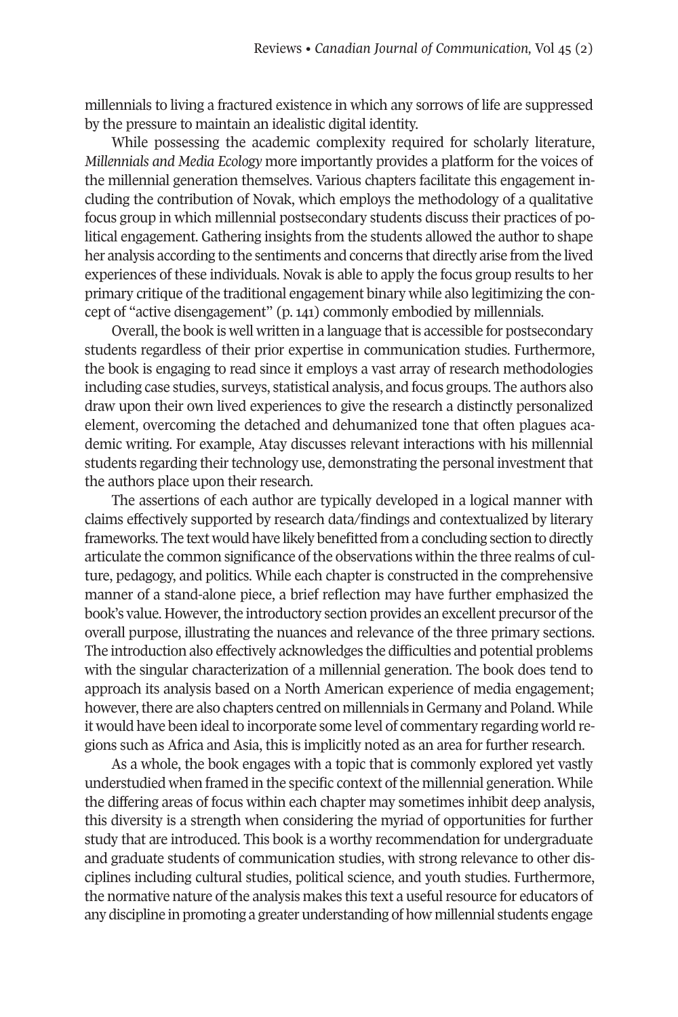millennials to living a fractured existence in which any sorrows of life are suppressed by the pressure to maintain an idealistic digital identity.

While possessing the academic complexity required for scholarly literature, *Millennials and Media Ecology* more importantly provides a platform for the voices of the millennial generation themselves. Various chapters facilitate this engagement including the contribution of Novak, which employs the methodology of a qualitative focus group in which millennial postsecondary students discuss their practices of political engagement. Gathering insights from the students allowed the author to shape her analysis according to the sentiments and concerns that directly arise from the lived experiences of these individuals. Novak is able to apply the focus group results to her primary critique of the traditional engagement binary while also legitimizing the concept of "active disengagement" (p. 141) commonly embodied by millennials.

Overall, the book is well written in a language that is accessible for postsecondary students regardless of their prior expertise in communication studies. Furthermore, the book is engaging to read since it employs a vast array of research methodologies including case studies, surveys, statistical analysis, and focus groups. The authors also draw upon their own lived experiences to give the research a distinctly personalized element, overcoming the detached and dehumanized tone that often plagues academic writing. For example, Atay discusses relevant interactions with his millennial students regarding their technology use, demonstrating the personal investment that the authors place upon their research.

The assertions of each author are typically developed in a logical manner with claims effectively supported by research data/findings and contextualized by literary frameworks. The text would have likely benefitted from a concluding section to directly articulate the common significance ofthe observations within the three realms of culture, pedagogy, and politics. While each chapter is constructed in the comprehensive manner of a stand-alone piece, a brief reflection may have further emphasized the book's value. However, the introductory section provides an excellent precursor of the overall purpose, illustrating the nuances and relevance of the three primary sections. The introduction also effectively acknowledges the difficulties and potential problems with the singular characterization of a millennial generation. The book does tend to approach its analysis based on a North American experience of media engagement; however, there are also chapters centred on millennials in Germany and Poland. While it would have been ideal to incorporate some level of commentary regarding world regions such as Africa and Asia, this is implicitly noted as an area for further research.

As a whole, the book engages with a topic that is commonly explored yet vastly understudied when framed in the specific context of the millennial generation. While the differing areas of focus within each chapter may sometimes inhibit deep analysis, this diversity is a strength when considering the myriad of opportunities for further study that are introduced. This book is a worthy recommendation for undergraduate and graduate students of communication studies, with strong relevance to other disciplines including cultural studies, political science, and youth studies. Furthermore, the normative nature of the analysis makes this text a useful resource for educators of any discipline in promoting a greater understanding of how millennial students engage